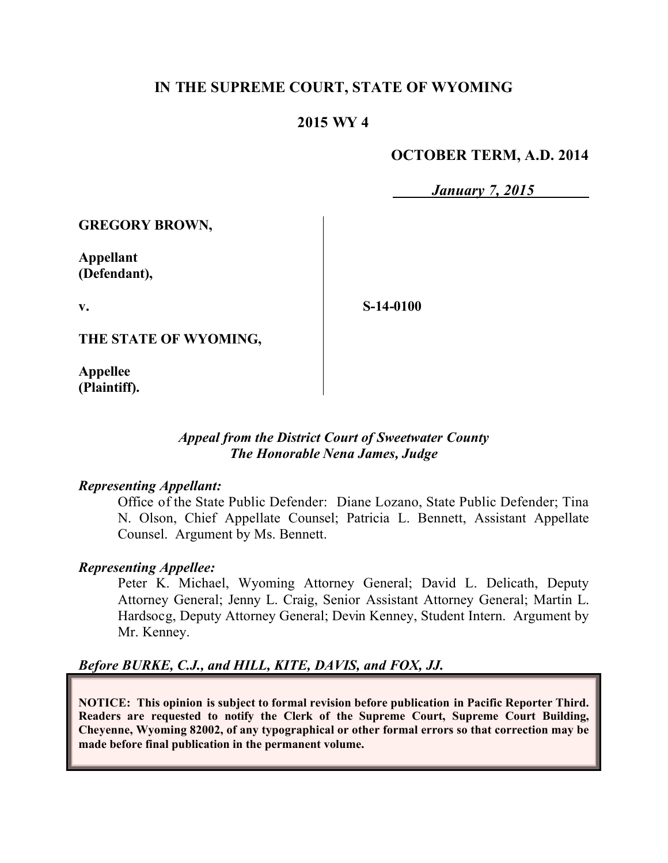# **IN THE SUPREME COURT, STATE OF WYOMING**

# **2015 WY 4**

## **OCTOBER TERM, A.D. 2014**

*January 7, 2015*

**GREGORY BROWN,**

**Appellant (Defendant),**

**v.**

**S-14-0100**

**THE STATE OF WYOMING,**

**Appellee (Plaintiff).**

### *Appeal from the District Court of Sweetwater County The Honorable Nena James, Judge*

#### *Representing Appellant:*

Office of the State Public Defender: Diane Lozano, State Public Defender; Tina N. Olson, Chief Appellate Counsel; Patricia L. Bennett, Assistant Appellate Counsel. Argument by Ms. Bennett.

#### *Representing Appellee:*

Peter K. Michael, Wyoming Attorney General; David L. Delicath, Deputy Attorney General; Jenny L. Craig, Senior Assistant Attorney General; Martin L. Hardsocg, Deputy Attorney General; Devin Kenney, Student Intern. Argument by Mr. Kenney.

### *Before BURKE, C.J., and HILL, KITE, DAVIS, and FOX, JJ.*

**NOTICE: This opinion is subject to formal revision before publication in Pacific Reporter Third. Readers are requested to notify the Clerk of the Supreme Court, Supreme Court Building, Cheyenne, Wyoming 82002, of any typographical or other formal errors so that correction may be made before final publication in the permanent volume.**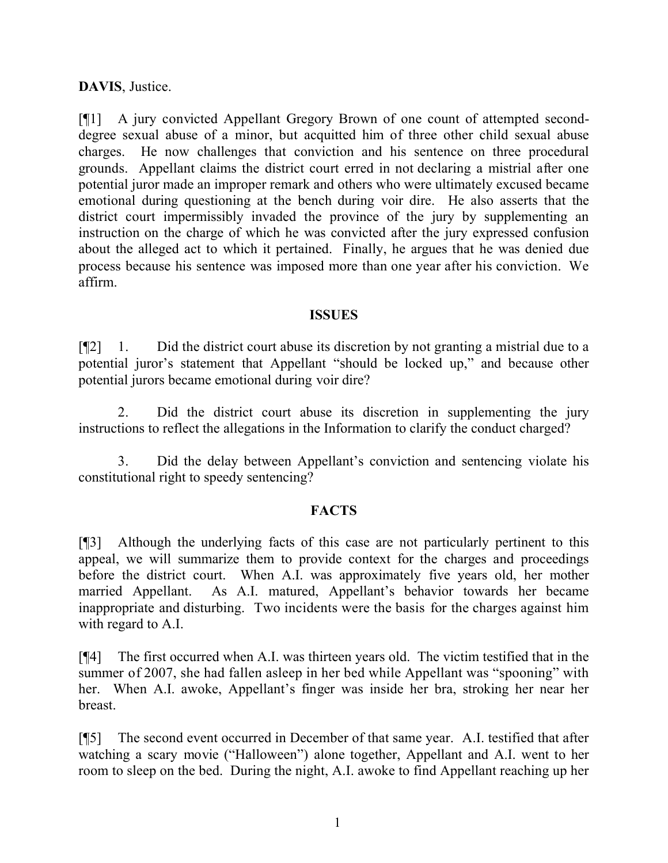## **DAVIS**, Justice.

[¶1] A jury convicted Appellant Gregory Brown of one count of attempted seconddegree sexual abuse of a minor, but acquitted him of three other child sexual abuse charges. He now challenges that conviction and his sentence on three procedural grounds. Appellant claims the district court erred in not declaring a mistrial after one potential juror made an improper remark and others who were ultimately excused became emotional during questioning at the bench during voir dire. He also asserts that the district court impermissibly invaded the province of the jury by supplementing an instruction on the charge of which he was convicted after the jury expressed confusion about the alleged act to which it pertained. Finally, he argues that he was denied due process because his sentence was imposed more than one year after his conviction. We affirm.

#### **ISSUES**

[¶2] 1. Did the district court abuse its discretion by not granting a mistrial due to a potential juror's statement that Appellant "should be locked up," and because other potential jurors became emotional during voir dire?

2. Did the district court abuse its discretion in supplementing the jury instructions to reflect the allegations in the Information to clarify the conduct charged?

3. Did the delay between Appellant's conviction and sentencing violate his constitutional right to speedy sentencing?

### **FACTS**

[¶3] Although the underlying facts of this case are not particularly pertinent to this appeal, we will summarize them to provide context for the charges and proceedings before the district court. When A.I. was approximately five years old, her mother married Appellant. As A.I. matured, Appellant's behavior towards her became inappropriate and disturbing. Two incidents were the basis for the charges against him with regard to A.I.

[¶4] The first occurred when A.I. was thirteen years old. The victim testified that in the summer of 2007, she had fallen asleep in her bed while Appellant was "spooning" with her. When A.I. awoke, Appellant's finger was inside her bra, stroking her near her breast.

[¶5] The second event occurred in December of that same year. A.I. testified that after watching a scary movie ("Halloween") alone together, Appellant and A.I. went to her room to sleep on the bed. During the night, A.I. awoke to find Appellant reaching up her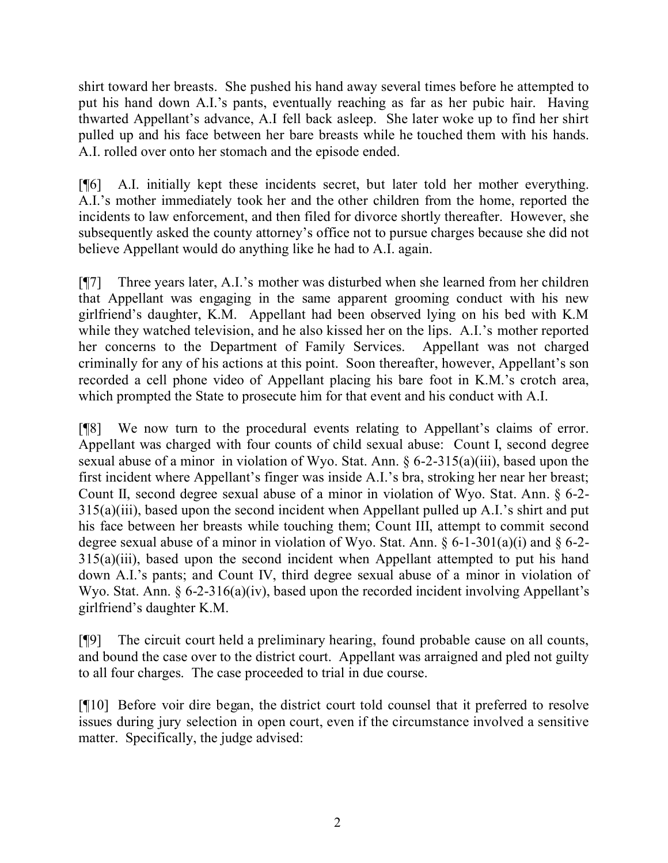shirt toward her breasts. She pushed his hand away several times before he attempted to put his hand down A.I.'s pants, eventually reaching as far as her pubic hair. Having thwarted Appellant's advance, A.I fell back asleep. She later woke up to find her shirt pulled up and his face between her bare breasts while he touched them with his hands. A.I. rolled over onto her stomach and the episode ended.

[¶6] A.I. initially kept these incidents secret, but later told her mother everything. A.I.'s mother immediately took her and the other children from the home, reported the incidents to law enforcement, and then filed for divorce shortly thereafter. However, she subsequently asked the county attorney's office not to pursue charges because she did not believe Appellant would do anything like he had to A.I. again.

[¶7] Three years later, A.I.'s mother was disturbed when she learned from her children that Appellant was engaging in the same apparent grooming conduct with his new girlfriend's daughter, K.M. Appellant had been observed lying on his bed with K.M while they watched television, and he also kissed her on the lips. A.I.'s mother reported her concerns to the Department of Family Services. Appellant was not charged criminally for any of his actions at this point. Soon thereafter, however, Appellant's son recorded a cell phone video of Appellant placing his bare foot in K.M.'s crotch area, which prompted the State to prosecute him for that event and his conduct with A.I.

[¶8] We now turn to the procedural events relating to Appellant's claims of error. Appellant was charged with four counts of child sexual abuse: Count I, second degree sexual abuse of a minor in violation of Wyo. Stat. Ann. § 6-2-315(a)(iii), based upon the first incident where Appellant's finger was inside A.I.'s bra, stroking her near her breast; Count II, second degree sexual abuse of a minor in violation of Wyo. Stat. Ann. § 6-2- 315(a)(iii), based upon the second incident when Appellant pulled up A.I.'s shirt and put his face between her breasts while touching them; Count III, attempt to commit second degree sexual abuse of a minor in violation of Wyo. Stat. Ann.  $\S 6$ -1-301(a)(i) and  $\S 6$ -2-315(a)(iii), based upon the second incident when Appellant attempted to put his hand down A.I.'s pants; and Count IV, third degree sexual abuse of a minor in violation of Wyo. Stat. Ann. § 6-2-316(a)(iv), based upon the recorded incident involving Appellant's girlfriend's daughter K.M.

[¶9] The circuit court held a preliminary hearing, found probable cause on all counts, and bound the case over to the district court. Appellant was arraigned and pled not guilty to all four charges. The case proceeded to trial in due course.

[¶10] Before voir dire began, the district court told counsel that it preferred to resolve issues during jury selection in open court, even if the circumstance involved a sensitive matter. Specifically, the judge advised: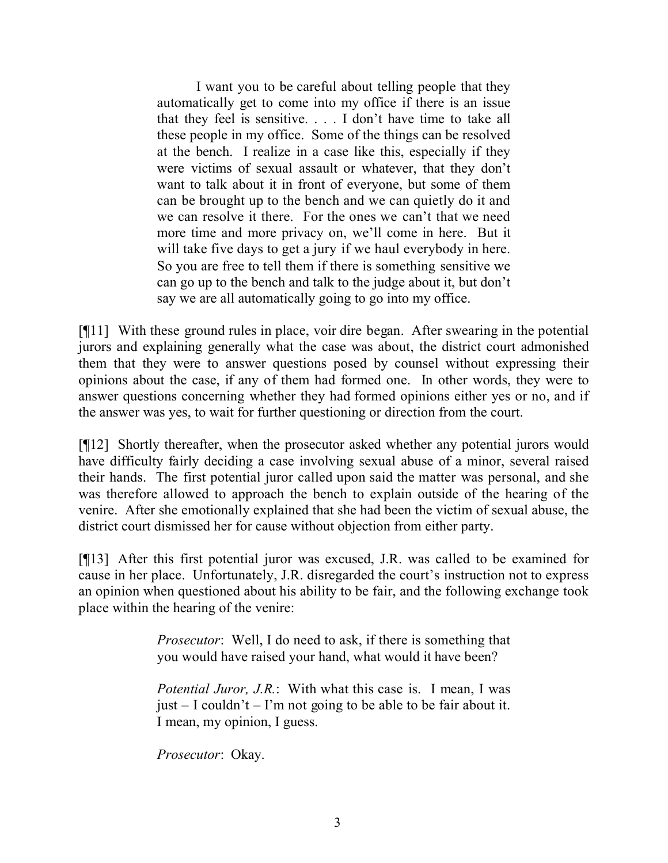I want you to be careful about telling people that they automatically get to come into my office if there is an issue that they feel is sensitive. . . . I don't have time to take all these people in my office. Some of the things can be resolved at the bench. I realize in a case like this, especially if they were victims of sexual assault or whatever, that they don't want to talk about it in front of everyone, but some of them can be brought up to the bench and we can quietly do it and we can resolve it there. For the ones we can't that we need more time and more privacy on, we'll come in here. But it will take five days to get a jury if we haul everybody in here. So you are free to tell them if there is something sensitive we can go up to the bench and talk to the judge about it, but don't say we are all automatically going to go into my office.

[¶11] With these ground rules in place, voir dire began. After swearing in the potential jurors and explaining generally what the case was about, the district court admonished them that they were to answer questions posed by counsel without expressing their opinions about the case, if any of them had formed one. In other words, they were to answer questions concerning whether they had formed opinions either yes or no, and if the answer was yes, to wait for further questioning or direction from the court.

[¶12] Shortly thereafter, when the prosecutor asked whether any potential jurors would have difficulty fairly deciding a case involving sexual abuse of a minor, several raised their hands. The first potential juror called upon said the matter was personal, and she was therefore allowed to approach the bench to explain outside of the hearing of the venire. After she emotionally explained that she had been the victim of sexual abuse, the district court dismissed her for cause without objection from either party.

[¶13] After this first potential juror was excused, J.R. was called to be examined for cause in her place. Unfortunately, J.R. disregarded the court's instruction not to express an opinion when questioned about his ability to be fair, and the following exchange took place within the hearing of the venire:

> *Prosecutor*: Well, I do need to ask, if there is something that you would have raised your hand, what would it have been?

> *Potential Juror, J.R.*: With what this case is. I mean, I was just  $-$  I couldn't  $-$  I'm not going to be able to be fair about it. I mean, my opinion, I guess.

*Prosecutor*: Okay.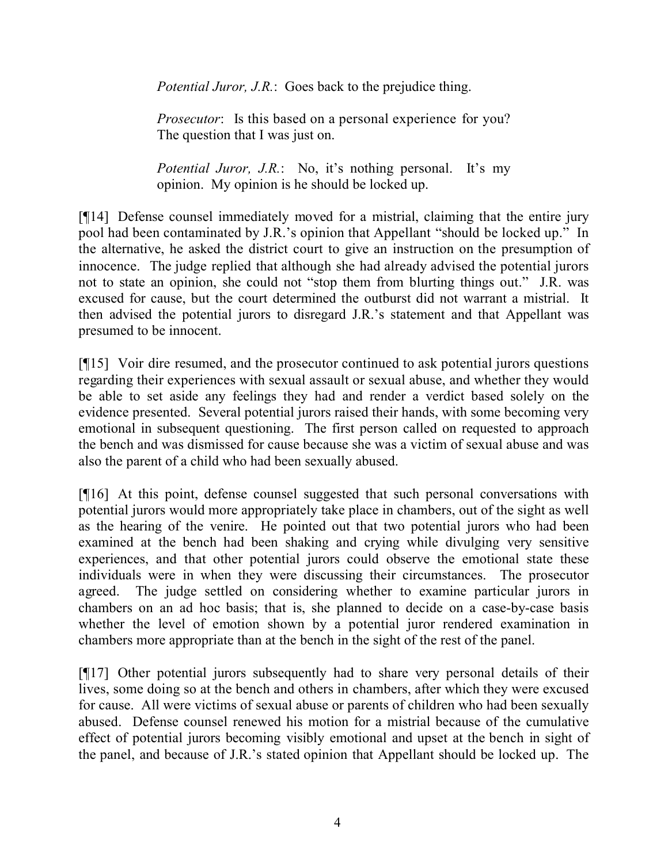*Potential Juror, J.R.*: Goes back to the prejudice thing.

*Prosecutor*: Is this based on a personal experience for you? The question that I was just on.

*Potential Juror, J.R.*: No, it's nothing personal. It's my opinion. My opinion is he should be locked up.

[¶14] Defense counsel immediately moved for a mistrial, claiming that the entire jury pool had been contaminated by J.R.'s opinion that Appellant "should be locked up." In the alternative, he asked the district court to give an instruction on the presumption of innocence. The judge replied that although she had already advised the potential jurors not to state an opinion, she could not "stop them from blurting things out." J.R. was excused for cause, but the court determined the outburst did not warrant a mistrial. It then advised the potential jurors to disregard J.R.'s statement and that Appellant was presumed to be innocent.

[¶15] Voir dire resumed, and the prosecutor continued to ask potential jurors questions regarding their experiences with sexual assault or sexual abuse, and whether they would be able to set aside any feelings they had and render a verdict based solely on the evidence presented. Several potential jurors raised their hands, with some becoming very emotional in subsequent questioning. The first person called on requested to approach the bench and was dismissed for cause because she was a victim of sexual abuse and was also the parent of a child who had been sexually abused.

[¶16] At this point, defense counsel suggested that such personal conversations with potential jurors would more appropriately take place in chambers, out of the sight as well as the hearing of the venire. He pointed out that two potential jurors who had been examined at the bench had been shaking and crying while divulging very sensitive experiences, and that other potential jurors could observe the emotional state these individuals were in when they were discussing their circumstances. The prosecutor agreed. The judge settled on considering whether to examine particular jurors in chambers on an ad hoc basis; that is, she planned to decide on a case-by-case basis whether the level of emotion shown by a potential juror rendered examination in chambers more appropriate than at the bench in the sight of the rest of the panel.

[¶17] Other potential jurors subsequently had to share very personal details of their lives, some doing so at the bench and others in chambers, after which they were excused for cause. All were victims of sexual abuse or parents of children who had been sexually abused. Defense counsel renewed his motion for a mistrial because of the cumulative effect of potential jurors becoming visibly emotional and upset at the bench in sight of the panel, and because of J.R.'s stated opinion that Appellant should be locked up. The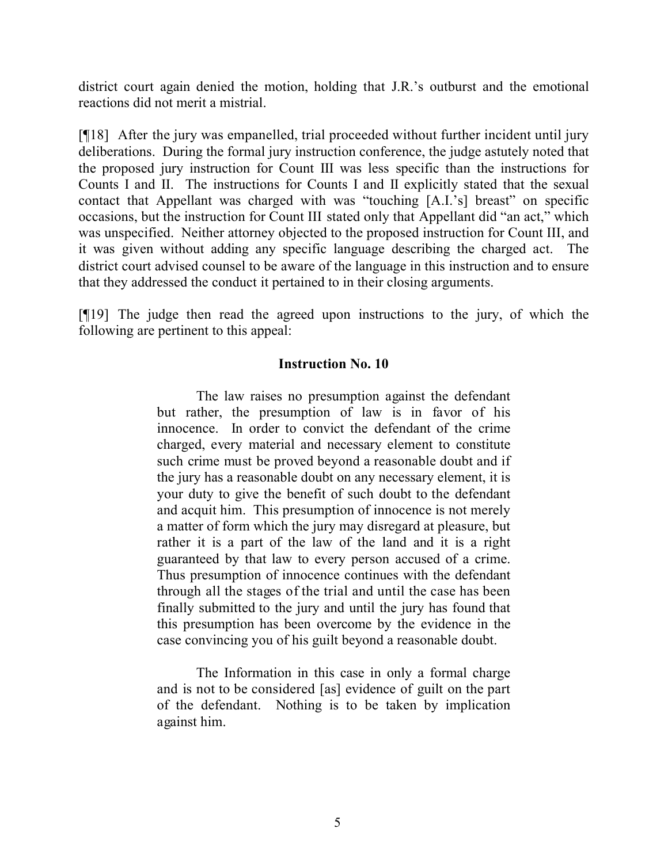district court again denied the motion, holding that J.R.'s outburst and the emotional reactions did not merit a mistrial.

[¶18] After the jury was empanelled, trial proceeded without further incident until jury deliberations. During the formal jury instruction conference, the judge astutely noted that the proposed jury instruction for Count III was less specific than the instructions for Counts I and II. The instructions for Counts I and II explicitly stated that the sexual contact that Appellant was charged with was "touching [A.I.'s] breast" on specific occasions, but the instruction for Count III stated only that Appellant did "an act," which was unspecified. Neither attorney objected to the proposed instruction for Count III, and it was given without adding any specific language describing the charged act. The district court advised counsel to be aware of the language in this instruction and to ensure that they addressed the conduct it pertained to in their closing arguments.

[¶19] The judge then read the agreed upon instructions to the jury, of which the following are pertinent to this appeal:

#### **Instruction No. 10**

The law raises no presumption against the defendant but rather, the presumption of law is in favor of his innocence. In order to convict the defendant of the crime charged, every material and necessary element to constitute such crime must be proved beyond a reasonable doubt and if the jury has a reasonable doubt on any necessary element, it is your duty to give the benefit of such doubt to the defendant and acquit him. This presumption of innocence is not merely a matter of form which the jury may disregard at pleasure, but rather it is a part of the law of the land and it is a right guaranteed by that law to every person accused of a crime. Thus presumption of innocence continues with the defendant through all the stages of the trial and until the case has been finally submitted to the jury and until the jury has found that this presumption has been overcome by the evidence in the case convincing you of his guilt beyond a reasonable doubt.

The Information in this case in only a formal charge and is not to be considered [as] evidence of guilt on the part of the defendant. Nothing is to be taken by implication against him.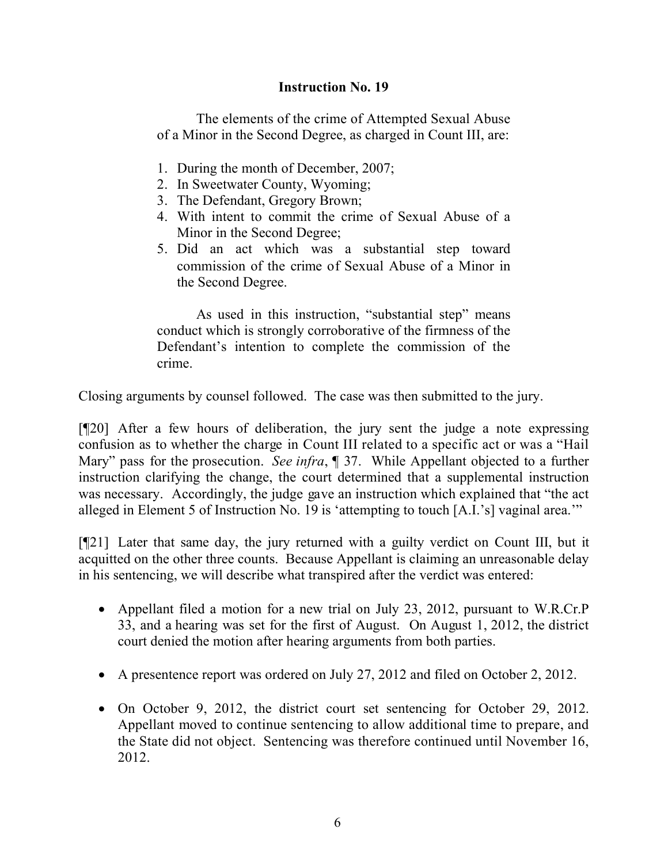### **Instruction No. 19**

The elements of the crime of Attempted Sexual Abuse of a Minor in the Second Degree, as charged in Count III, are:

- 1. During the month of December, 2007;
- 2. In Sweetwater County, Wyoming;
- 3. The Defendant, Gregory Brown;
- 4. With intent to commit the crime of Sexual Abuse of a Minor in the Second Degree;
- 5. Did an act which was a substantial step toward commission of the crime of Sexual Abuse of a Minor in the Second Degree.

As used in this instruction, "substantial step" means conduct which is strongly corroborative of the firmness of the Defendant's intention to complete the commission of the crime.

Closing arguments by counsel followed. The case was then submitted to the jury.

[¶20] After a few hours of deliberation, the jury sent the judge a note expressing confusion as to whether the charge in Count III related to a specific act or was a "Hail Mary" pass for the prosecution. *See infra*, ¶ 37. While Appellant objected to a further instruction clarifying the change, the court determined that a supplemental instruction was necessary. Accordingly, the judge gave an instruction which explained that "the act alleged in Element 5 of Instruction No. 19 is 'attempting to touch [A.I.'s] vaginal area.'"

[¶21] Later that same day, the jury returned with a guilty verdict on Count III, but it acquitted on the other three counts. Because Appellant is claiming an unreasonable delay in his sentencing, we will describe what transpired after the verdict was entered:

- Appellant filed a motion for a new trial on July 23, 2012, pursuant to W.R.Cr.P 33, and a hearing was set for the first of August. On August 1, 2012, the district court denied the motion after hearing arguments from both parties.
- A presentence report was ordered on July 27, 2012 and filed on October 2, 2012.
- On October 9, 2012, the district court set sentencing for October 29, 2012. Appellant moved to continue sentencing to allow additional time to prepare, and the State did not object. Sentencing was therefore continued until November 16, 2012.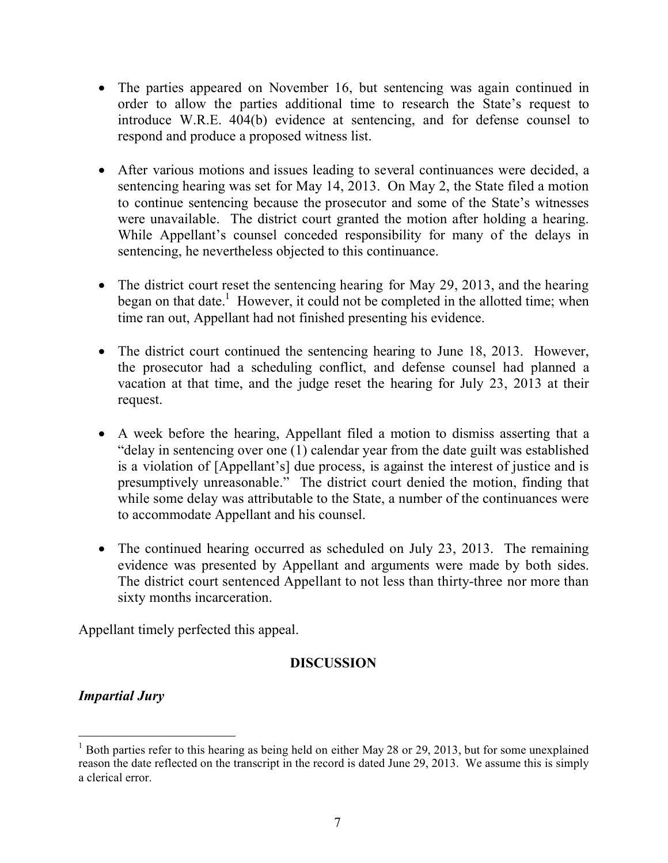- The parties appeared on November 16, but sentencing was again continued in order to allow the parties additional time to research the State's request to introduce W.R.E. 404(b) evidence at sentencing, and for defense counsel to respond and produce a proposed witness list.
- After various motions and issues leading to several continuances were decided, a sentencing hearing was set for May 14, 2013. On May 2, the State filed a motion to continue sentencing because the prosecutor and some of the State's witnesses were unavailable. The district court granted the motion after holding a hearing. While Appellant's counsel conceded responsibility for many of the delays in sentencing, he nevertheless objected to this continuance.
- The district court reset the sentencing hearing for May 29, 2013, and the hearing began on that date.<sup>1</sup> However, it could not be completed in the allotted time; when time ran out, Appellant had not finished presenting his evidence.
- The district court continued the sentencing hearing to June 18, 2013. However, the prosecutor had a scheduling conflict, and defense counsel had planned a vacation at that time, and the judge reset the hearing for July 23, 2013 at their request.
- A week before the hearing, Appellant filed a motion to dismiss asserting that a "delay in sentencing over one (1) calendar year from the date guilt was established is a violation of [Appellant's] due process, is against the interest of justice and is presumptively unreasonable." The district court denied the motion, finding that while some delay was attributable to the State, a number of the continuances were to accommodate Appellant and his counsel.
- The continued hearing occurred as scheduled on July 23, 2013. The remaining evidence was presented by Appellant and arguments were made by both sides. The district court sentenced Appellant to not less than thirty-three nor more than sixty months incarceration.

Appellant timely perfected this appeal.

# **DISCUSSION**

# *Impartial Jury*

 $1$  Both parties refer to this hearing as being held on either May 28 or 29, 2013, but for some unexplained reason the date reflected on the transcript in the record is dated June 29, 2013. We assume this is simply a clerical error.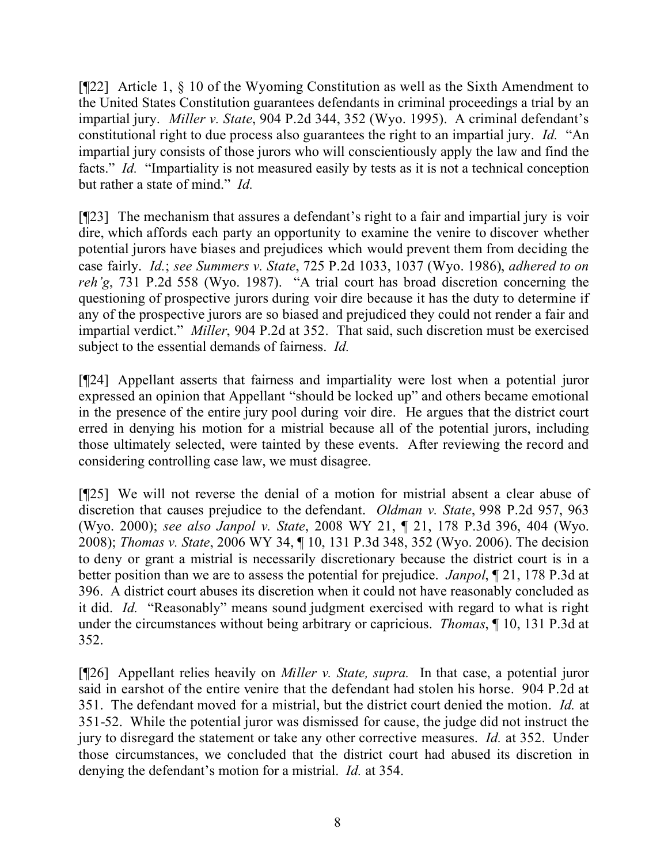[¶22] Article 1, § 10 of the Wyoming Constitution as well as the Sixth Amendment to the United States Constitution guarantees defendants in criminal proceedings a trial by an impartial jury. *Miller v. State*, 904 P.2d 344, 352 (Wyo. 1995). A criminal defendant's constitutional right to due process also guarantees the right to an impartial jury. *Id.* "An impartial jury consists of those jurors who will conscientiously apply the law and find the facts." *Id.* "Impartiality is not measured easily by tests as it is not a technical conception but rather a state of mind." *Id.*

[¶23] The mechanism that assures a defendant's right to a fair and impartial jury is voir dire, which affords each party an opportunity to examine the venire to discover whether potential jurors have biases and prejudices which would prevent them from deciding the case fairly. *Id.*; *see Summers v. State*, 725 P.2d 1033, 1037 (Wyo. 1986), *adhered to on reh'g*, 731 P.2d 558 (Wyo. 1987). "A trial court has broad discretion concerning the questioning of prospective jurors during voir dire because it has the duty to determine if any of the prospective jurors are so biased and prejudiced they could not render a fair and impartial verdict." *Miller*, 904 P.2d at 352. That said, such discretion must be exercised subject to the essential demands of fairness. *Id.*

[¶24] Appellant asserts that fairness and impartiality were lost when a potential juror expressed an opinion that Appellant "should be locked up" and others became emotional in the presence of the entire jury pool during voir dire. He argues that the district court erred in denying his motion for a mistrial because all of the potential jurors, including those ultimately selected, were tainted by these events. After reviewing the record and considering controlling case law, we must disagree.

[¶25] We will not reverse the denial of a motion for mistrial absent a clear abuse of discretion that causes prejudice to the defendant. *Oldman v. State*, 998 P.2d 957, 963 (Wyo. 2000); *see also Janpol v. State*, 2008 WY 21, ¶ 21, 178 P.3d 396, 404 (Wyo. 2008); *Thomas v. State*, 2006 WY 34, ¶ 10, 131 P.3d 348, 352 (Wyo. 2006). The decision to deny or grant a mistrial is necessarily discretionary because the district court is in a better position than we are to assess the potential for prejudice. *Janpol*, ¶ 21, 178 P.3d at 396. A district court abuses its discretion when it could not have reasonably concluded as it did. *Id.* "Reasonably" means sound judgment exercised with regard to what is right under the circumstances without being arbitrary or capricious. *Thomas*, ¶ 10, 131 P.3d at 352.

[¶26] Appellant relies heavily on *Miller v. State, supra.* In that case, a potential juror said in earshot of the entire venire that the defendant had stolen his horse. 904 P.2d at 351. The defendant moved for a mistrial, but the district court denied the motion. *Id.* at 351-52. While the potential juror was dismissed for cause, the judge did not instruct the jury to disregard the statement or take any other corrective measures. *Id.* at 352. Under those circumstances, we concluded that the district court had abused its discretion in denying the defendant's motion for a mistrial. *Id.* at 354.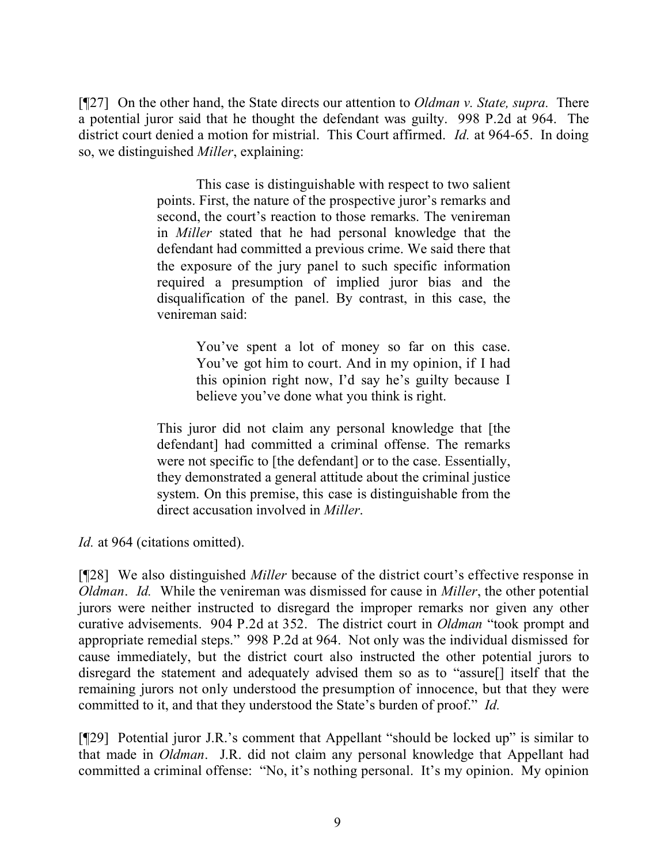[¶27] On the other hand, the State directs our attention to *Oldman v. State, supra.* There a potential juror said that he thought the defendant was guilty. 998 P.2d at 964. The district court denied a motion for mistrial. This Court affirmed. *Id.* at 964-65. In doing so, we distinguished *Miller*, explaining:

> This case is distinguishable with respect to two salient points. First, the nature of the prospective juror's remarks and second, the court's reaction to those remarks. The venireman in *Miller* stated that he had personal knowledge that the defendant had committed a previous crime. We said there that the exposure of the jury panel to such specific information required a presumption of implied juror bias and the disqualification of the panel. By contrast, in this case, the venireman said:

> > You've spent a lot of money so far on this case. You've got him to court. And in my opinion, if I had this opinion right now, I'd say he's guilty because I believe you've done what you think is right.

This juror did not claim any personal knowledge that [the defendant] had committed a criminal offense. The remarks were not specific to [the defendant] or to the case. Essentially, they demonstrated a general attitude about the criminal justice system. On this premise, this case is distinguishable from the direct accusation involved in *Miller*.

*Id.* at 964 (citations omitted).

[¶28] We also distinguished *Miller* because of the district court's effective response in *Oldman*. *Id.* While the venireman was dismissed for cause in *Miller*, the other potential jurors were neither instructed to disregard the improper remarks nor given any other curative advisements. 904 P.2d at 352. The district court in *Oldman* "took prompt and appropriate remedial steps." 998 P.2d at 964. Not only was the individual dismissed for cause immediately, but the district court also instructed the other potential jurors to disregard the statement and adequately advised them so as to "assure[] itself that the remaining jurors not only understood the presumption of innocence, but that they were committed to it, and that they understood the State's burden of proof." *Id.*

[¶29] Potential juror J.R.'s comment that Appellant "should be locked up" is similar to that made in *Oldman*. J.R. did not claim any personal knowledge that Appellant had committed a criminal offense: "No, it's nothing personal. It's my opinion. My opinion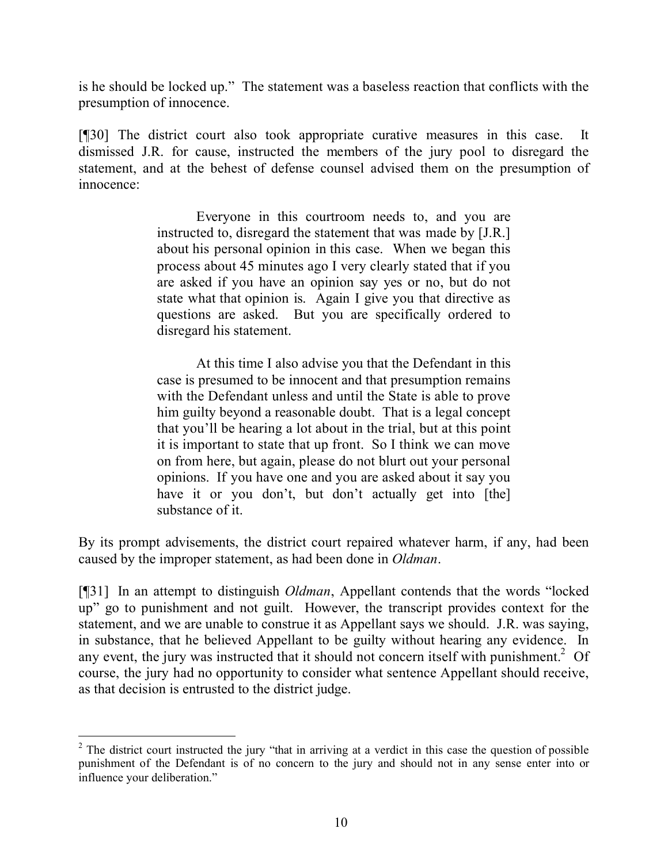is he should be locked up." The statement was a baseless reaction that conflicts with the presumption of innocence.

[¶30] The district court also took appropriate curative measures in this case. It dismissed J.R. for cause, instructed the members of the jury pool to disregard the statement, and at the behest of defense counsel advised them on the presumption of innocence:

> Everyone in this courtroom needs to, and you are instructed to, disregard the statement that was made by [J.R.] about his personal opinion in this case. When we began this process about 45 minutes ago I very clearly stated that if you are asked if you have an opinion say yes or no, but do not state what that opinion is. Again I give you that directive as questions are asked. But you are specifically ordered to disregard his statement.

> At this time I also advise you that the Defendant in this case is presumed to be innocent and that presumption remains with the Defendant unless and until the State is able to prove him guilty beyond a reasonable doubt. That is a legal concept that you'll be hearing a lot about in the trial, but at this point it is important to state that up front. So I think we can move on from here, but again, please do not blurt out your personal opinions. If you have one and you are asked about it say you have it or you don't, but don't actually get into [the] substance of it.

By its prompt advisements, the district court repaired whatever harm, if any, had been caused by the improper statement, as had been done in *Oldman*.

[¶31] In an attempt to distinguish *Oldman*, Appellant contends that the words "locked up" go to punishment and not guilt. However, the transcript provides context for the statement, and we are unable to construe it as Appellant says we should. J.R. was saying, in substance, that he believed Appellant to be guilty without hearing any evidence. In any event, the jury was instructed that it should not concern itself with punishment.<sup>2</sup> Of course, the jury had no opportunity to consider what sentence Appellant should receive, as that decision is entrusted to the district judge.

 <sup>2</sup> The district court instructed the jury "that in arriving at a verdict in this case the question of possible punishment of the Defendant is of no concern to the jury and should not in any sense enter into or influence your deliberation."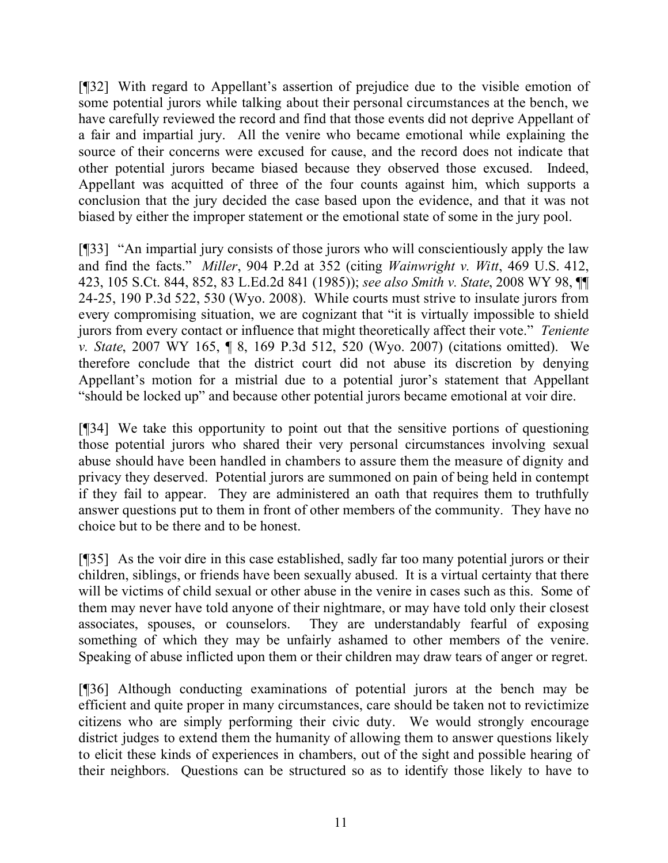[¶32] With regard to Appellant's assertion of prejudice due to the visible emotion of some potential jurors while talking about their personal circumstances at the bench, we have carefully reviewed the record and find that those events did not deprive Appellant of a fair and impartial jury. All the venire who became emotional while explaining the source of their concerns were excused for cause, and the record does not indicate that other potential jurors became biased because they observed those excused. Indeed, Appellant was acquitted of three of the four counts against him, which supports a conclusion that the jury decided the case based upon the evidence, and that it was not biased by either the improper statement or the emotional state of some in the jury pool.

[¶33] "An impartial jury consists of those jurors who will conscientiously apply the law and find the facts." *Miller*, 904 P.2d at 352 (citing *Wainwright v. Witt*, 469 U.S. 412, 423, 105 S.Ct. 844, 852, 83 L.Ed.2d 841 (1985)); *see also Smith v. State*, 2008 WY 98, ¶¶ 24-25, 190 P.3d 522, 530 (Wyo. 2008). While courts must strive to insulate jurors from every compromising situation, we are cognizant that "it is virtually impossible to shield jurors from every contact or influence that might theoretically affect their vote." *Teniente v. State*, 2007 WY 165, ¶ 8, 169 P.3d 512, 520 (Wyo. 2007) (citations omitted). We therefore conclude that the district court did not abuse its discretion by denying Appellant's motion for a mistrial due to a potential juror's statement that Appellant "should be locked up" and because other potential jurors became emotional at voir dire.

[¶34] We take this opportunity to point out that the sensitive portions of questioning those potential jurors who shared their very personal circumstances involving sexual abuse should have been handled in chambers to assure them the measure of dignity and privacy they deserved. Potential jurors are summoned on pain of being held in contempt if they fail to appear. They are administered an oath that requires them to truthfully answer questions put to them in front of other members of the community. They have no choice but to be there and to be honest.

[¶35] As the voir dire in this case established, sadly far too many potential jurors or their children, siblings, or friends have been sexually abused. It is a virtual certainty that there will be victims of child sexual or other abuse in the venire in cases such as this. Some of them may never have told anyone of their nightmare, or may have told only their closest associates, spouses, or counselors. They are understandably fearful of exposing something of which they may be unfairly ashamed to other members of the venire. Speaking of abuse inflicted upon them or their children may draw tears of anger or regret.

[¶36] Although conducting examinations of potential jurors at the bench may be efficient and quite proper in many circumstances, care should be taken not to revictimize citizens who are simply performing their civic duty. We would strongly encourage district judges to extend them the humanity of allowing them to answer questions likely to elicit these kinds of experiences in chambers, out of the sight and possible hearing of their neighbors. Questions can be structured so as to identify those likely to have to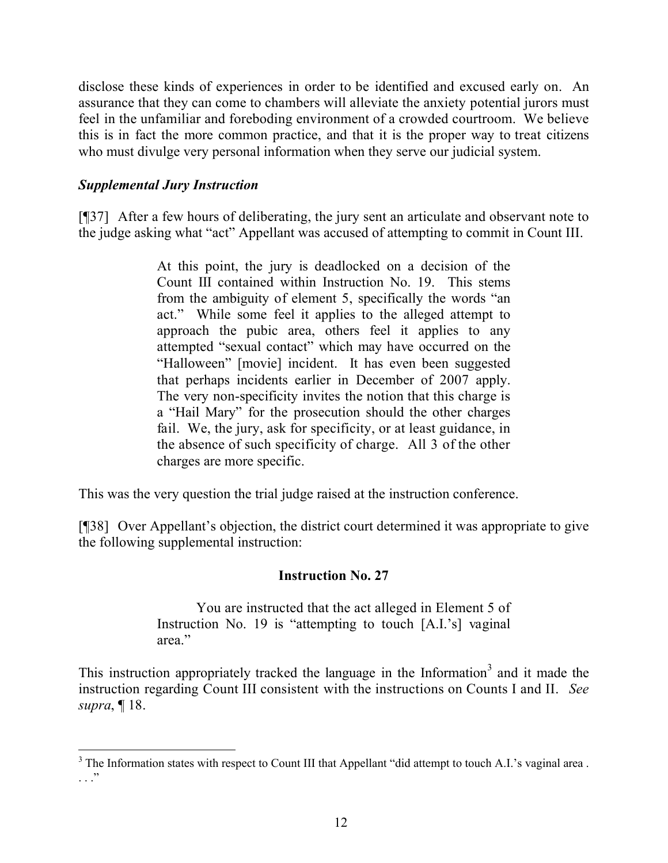disclose these kinds of experiences in order to be identified and excused early on. An assurance that they can come to chambers will alleviate the anxiety potential jurors must feel in the unfamiliar and foreboding environment of a crowded courtroom. We believe this is in fact the more common practice, and that it is the proper way to treat citizens who must divulge very personal information when they serve our judicial system.

### *Supplemental Jury Instruction*

[¶37] After a few hours of deliberating, the jury sent an articulate and observant note to the judge asking what "act" Appellant was accused of attempting to commit in Count III.

> At this point, the jury is deadlocked on a decision of the Count III contained within Instruction No. 19. This stems from the ambiguity of element 5, specifically the words "an act." While some feel it applies to the alleged attempt to approach the pubic area, others feel it applies to any attempted "sexual contact" which may have occurred on the "Halloween" [movie] incident. It has even been suggested that perhaps incidents earlier in December of 2007 apply. The very non-specificity invites the notion that this charge is a "Hail Mary" for the prosecution should the other charges fail. We, the jury, ask for specificity, or at least guidance, in the absence of such specificity of charge. All 3 of the other charges are more specific.

This was the very question the trial judge raised at the instruction conference.

[¶38] Over Appellant's objection, the district court determined it was appropriate to give the following supplemental instruction:

#### **Instruction No. 27**

You are instructed that the act alleged in Element 5 of Instruction No. 19 is "attempting to touch [A.I.'s] vaginal area."

This instruction appropriately tracked the language in the Information<sup>3</sup> and it made the instruction regarding Count III consistent with the instructions on Counts I and II. *See supra*, ¶ 18.

 $3$  The Information states with respect to Count III that Appellant "did attempt to touch A.I.'s vaginal area. . . ."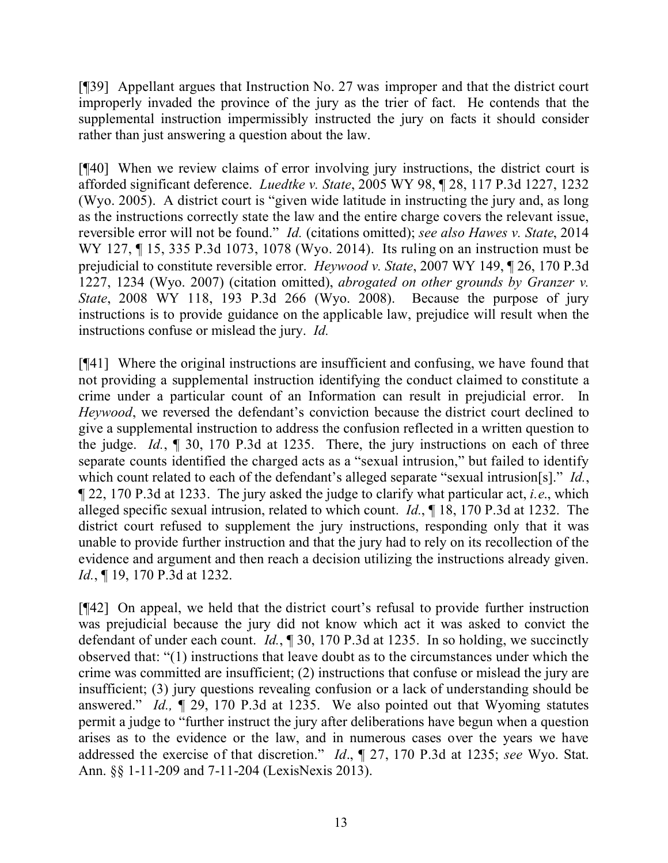[¶39] Appellant argues that Instruction No. 27 was improper and that the district court improperly invaded the province of the jury as the trier of fact. He contends that the supplemental instruction impermissibly instructed the jury on facts it should consider rather than just answering a question about the law.

[¶40] When we review claims of error involving jury instructions, the district court is afforded significant deference. *Luedtke v. State*, 2005 WY 98, ¶ 28, 117 P.3d 1227, 1232 (Wyo. 2005). A district court is "given wide latitude in instructing the jury and, as long as the instructions correctly state the law and the entire charge covers the relevant issue, reversible error will not be found." *Id.* (citations omitted); *see also Hawes v. State*, 2014 WY 127, ¶ 15, 335 P.3d 1073, 1078 (Wyo. 2014). Its ruling on an instruction must be prejudicial to constitute reversible error. *Heywood v. State*, 2007 WY 149, ¶ 26, 170 P.3d 1227, 1234 (Wyo. 2007) (citation omitted), *abrogated on other grounds by Granzer v. State*, 2008 WY 118, 193 P.3d 266 (Wyo. 2008). Because the purpose of jury instructions is to provide guidance on the applicable law, prejudice will result when the instructions confuse or mislead the jury. *Id.*

[¶41] Where the original instructions are insufficient and confusing, we have found that not providing a supplemental instruction identifying the conduct claimed to constitute a crime under a particular count of an Information can result in prejudicial error. In *Heywood*, we reversed the defendant's conviction because the district court declined to give a supplemental instruction to address the confusion reflected in a written question to the judge. *Id.*, ¶ 30, 170 P.3d at 1235. There, the jury instructions on each of three separate counts identified the charged acts as a "sexual intrusion," but failed to identify which count related to each of the defendant's alleged separate "sexual intrusion[s]." *Id.*, ¶ 22, 170 P.3d at 1233. The jury asked the judge to clarify what particular act, *i.e*., which alleged specific sexual intrusion, related to which count. *Id.*, ¶ 18, 170 P.3d at 1232. The district court refused to supplement the jury instructions, responding only that it was unable to provide further instruction and that the jury had to rely on its recollection of the evidence and argument and then reach a decision utilizing the instructions already given. *Id.*, ¶ 19, 170 P.3d at 1232.

[¶42] On appeal, we held that the district court's refusal to provide further instruction was prejudicial because the jury did not know which act it was asked to convict the defendant of under each count. *Id.*, ¶ 30, 170 P.3d at 1235. In so holding, we succinctly observed that: "(1) instructions that leave doubt as to the circumstances under which the crime was committed are insufficient; (2) instructions that confuse or mislead the jury are insufficient; (3) jury questions revealing confusion or a lack of understanding should be answered." *Id.,* ¶ 29, 170 P.3d at 1235. We also pointed out that Wyoming statutes permit a judge to "further instruct the jury after deliberations have begun when a question arises as to the evidence or the law, and in numerous cases over the years we have addressed the exercise of that discretion." *Id*., ¶ 27, 170 P.3d at 1235; *see* Wyo. Stat. Ann. §§ 1-11-209 and 7-11-204 (LexisNexis 2013).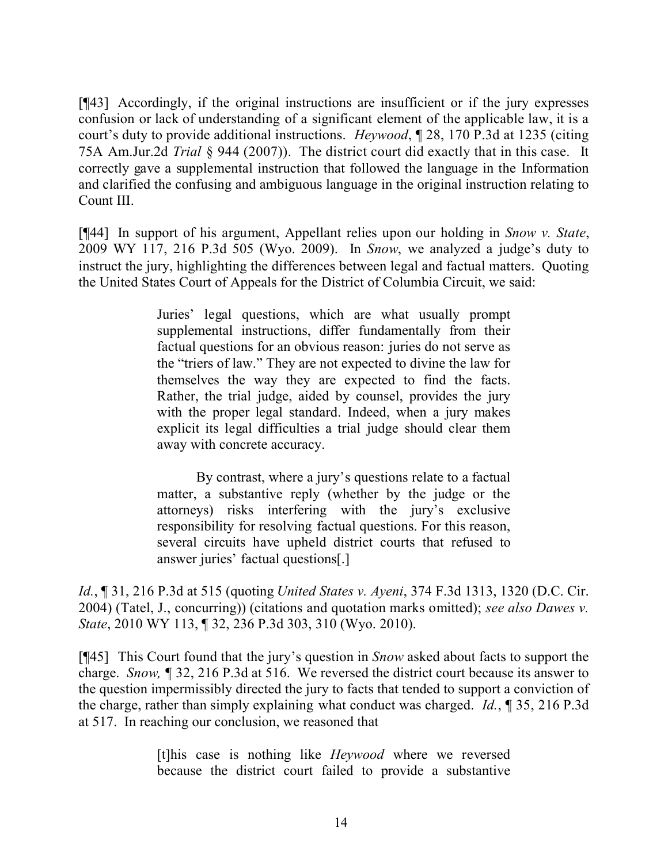[¶43] Accordingly, if the original instructions are insufficient or if the jury expresses confusion or lack of understanding of a significant element of the applicable law, it is a court's duty to provide additional instructions. *Heywood*, ¶ 28, 170 P.3d at 1235 (citing 75A Am.Jur.2d *Trial* § 944 (2007)). The district court did exactly that in this case. It correctly gave a supplemental instruction that followed the language in the Information and clarified the confusing and ambiguous language in the original instruction relating to Count III.

[¶44] In support of his argument, Appellant relies upon our holding in *Snow v. State*, 2009 WY 117, 216 P.3d 505 (Wyo. 2009). In *Snow*, we analyzed a judge's duty to instruct the jury, highlighting the differences between legal and factual matters. Quoting the United States Court of Appeals for the District of Columbia Circuit, we said:

> Juries' legal questions, which are what usually prompt supplemental instructions, differ fundamentally from their factual questions for an obvious reason: juries do not serve as the "triers of law." They are not expected to divine the law for themselves the way they are expected to find the facts. Rather, the trial judge, aided by counsel, provides the jury with the proper legal standard. Indeed, when a jury makes explicit its legal difficulties a trial judge should clear them away with concrete accuracy.

> By contrast, where a jury's questions relate to a factual matter, a substantive reply (whether by the judge or the attorneys) risks interfering with the jury's exclusive responsibility for resolving factual questions. For this reason, several circuits have upheld district courts that refused to answer juries' factual questions[.]

*Id.*, ¶ 31, 216 P.3d at 515 (quoting *United States v. Ayeni*, 374 F.3d 1313, 1320 (D.C. Cir. 2004) (Tatel, J., concurring)) (citations and quotation marks omitted); *see also Dawes v. State*, 2010 WY 113, ¶ 32, 236 P.3d 303, 310 (Wyo. 2010).

[¶45] This Court found that the jury's question in *Snow* asked about facts to support the charge. *Snow, ¶* 32, 216 P.3d at 516. We reversed the district court because its answer to the question impermissibly directed the jury to facts that tended to support a conviction of the charge, rather than simply explaining what conduct was charged. *Id.*, ¶ 35, 216 P.3d at 517. In reaching our conclusion, we reasoned that

> [t]his case is nothing like *Heywood* where we reversed because the district court failed to provide a substantive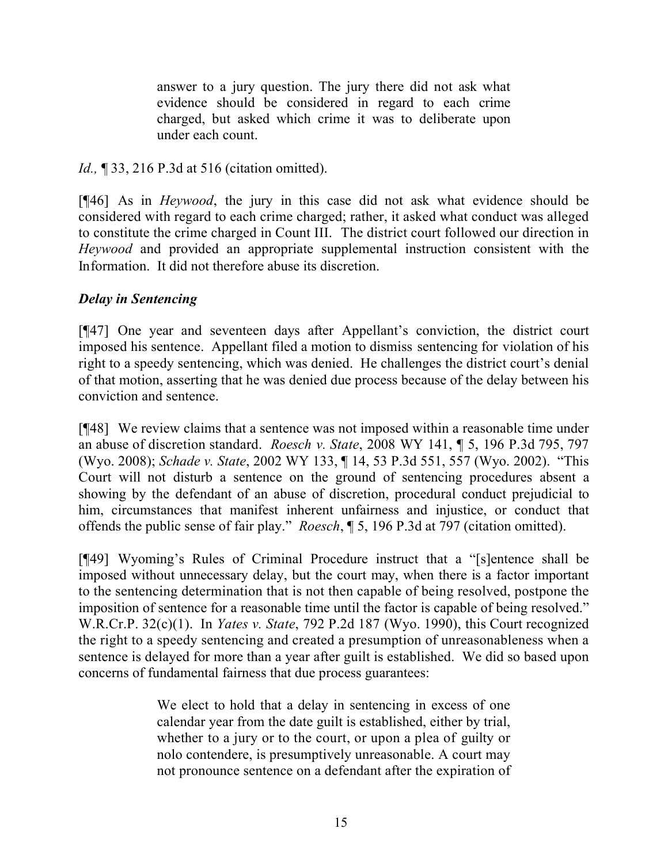answer to a jury question. The jury there did not ask what evidence should be considered in regard to each crime charged, but asked which crime it was to deliberate upon under each count.

*Id.*, **[33, 216 P.3d at 516 (citation omitted).** 

[¶46] As in *Heywood*, the jury in this case did not ask what evidence should be considered with regard to each crime charged; rather, it asked what conduct was alleged to constitute the crime charged in Count III. The district court followed our direction in *Heywood* and provided an appropriate supplemental instruction consistent with the Information. It did not therefore abuse its discretion.

# *Delay in Sentencing*

[¶47] One year and seventeen days after Appellant's conviction, the district court imposed his sentence. Appellant filed a motion to dismiss sentencing for violation of his right to a speedy sentencing, which was denied. He challenges the district court's denial of that motion, asserting that he was denied due process because of the delay between his conviction and sentence.

[¶48] We review claims that a sentence was not imposed within a reasonable time under an abuse of discretion standard. *Roesch v. State*, 2008 WY 141, ¶ 5, 196 P.3d 795, 797 (Wyo. 2008); *Schade v. State*, 2002 WY 133, ¶ 14, 53 P.3d 551, 557 (Wyo. 2002). "This Court will not disturb a sentence on the ground of sentencing procedures absent a showing by the defendant of an abuse of discretion, procedural conduct prejudicial to him, circumstances that manifest inherent unfairness and injustice, or conduct that offends the public sense of fair play." *Roesch*, ¶ 5, 196 P.3d at 797 (citation omitted).

[¶49] Wyoming's Rules of Criminal Procedure instruct that a "[s]entence shall be imposed without unnecessary delay, but the court may, when there is a factor important to the sentencing determination that is not then capable of being resolved, postpone the imposition of sentence for a reasonable time until the factor is capable of being resolved." W.R.Cr.P. 32(c)(1). In *Yates v. State*, 792 P.2d 187 (Wyo. 1990), this Court recognized the right to a speedy sentencing and created a presumption of unreasonableness when a sentence is delayed for more than a year after guilt is established. We did so based upon concerns of fundamental fairness that due process guarantees:

> We elect to hold that a delay in sentencing in excess of one calendar year from the date guilt is established, either by trial, whether to a jury or to the court, or upon a plea of guilty or nolo contendere, is presumptively unreasonable. A court may not pronounce sentence on a defendant after the expiration of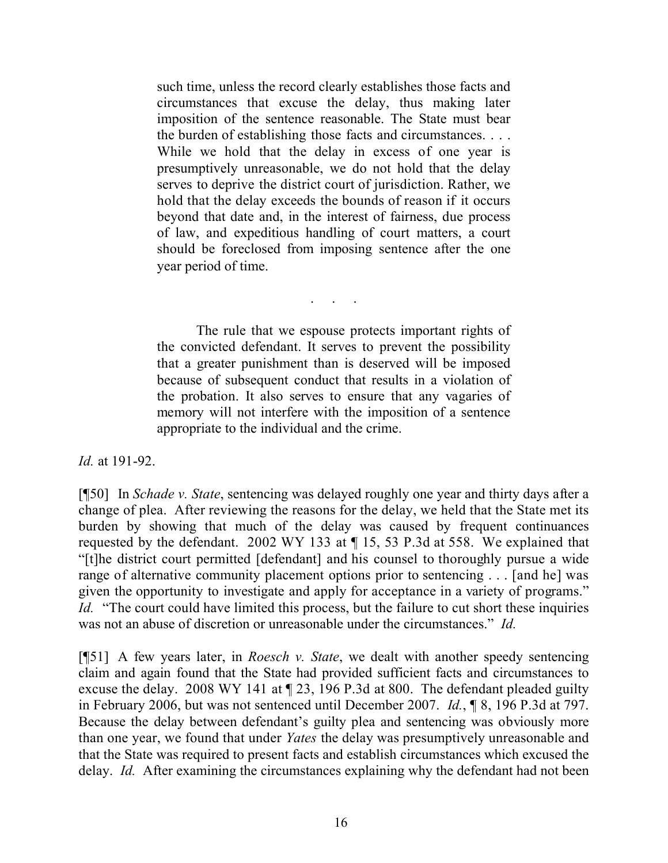such time, unless the record clearly establishes those facts and circumstances that excuse the delay, thus making later imposition of the sentence reasonable. The State must bear the burden of establishing those facts and circumstances. . . . While we hold that the delay in excess of one year is presumptively unreasonable, we do not hold that the delay serves to deprive the district court of jurisdiction. Rather, we hold that the delay exceeds the bounds of reason if it occurs beyond that date and, in the interest of fairness, due process of law, and expeditious handling of court matters, a court should be foreclosed from imposing sentence after the one year period of time.

. . . . .<br>. . . . . .

The rule that we espouse protects important rights of the convicted defendant. It serves to prevent the possibility that a greater punishment than is deserved will be imposed because of subsequent conduct that results in a violation of the probation. It also serves to ensure that any vagaries of memory will not interfere with the imposition of a sentence appropriate to the individual and the crime.

*Id.* at 191-92.

[¶50] In *Schade v. State*, sentencing was delayed roughly one year and thirty days after a change of plea. After reviewing the reasons for the delay, we held that the State met its burden by showing that much of the delay was caused by frequent continuances requested by the defendant. 2002 WY 133 at ¶ 15, 53 P.3d at 558. We explained that "[t]he district court permitted [defendant] and his counsel to thoroughly pursue a wide range of alternative community placement options prior to sentencing . . . [and he] was given the opportunity to investigate and apply for acceptance in a variety of programs." *Id.* "The court could have limited this process, but the failure to cut short these inquiries was not an abuse of discretion or unreasonable under the circumstances." *Id.*

[¶51] A few years later, in *Roesch v. State*, we dealt with another speedy sentencing claim and again found that the State had provided sufficient facts and circumstances to excuse the delay. 2008 WY 141 at ¶ 23, 196 P.3d at 800. The defendant pleaded guilty in February 2006, but was not sentenced until December 2007. *Id.*, ¶ 8, 196 P.3d at 797. Because the delay between defendant's guilty plea and sentencing was obviously more than one year, we found that under *Yates* the delay was presumptively unreasonable and that the State was required to present facts and establish circumstances which excused the delay. *Id.* After examining the circumstances explaining why the defendant had not been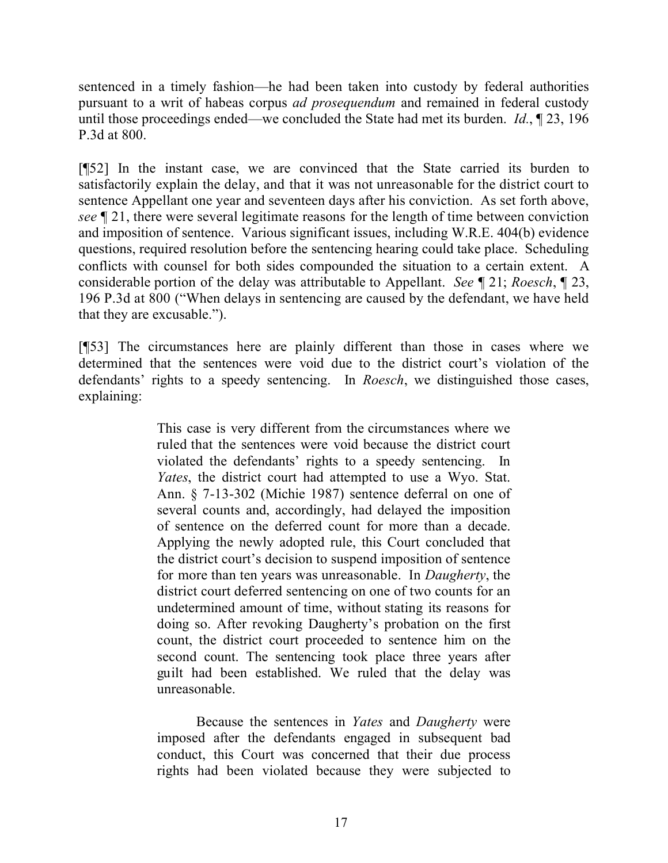sentenced in a timely fashion—he had been taken into custody by federal authorities pursuant to a writ of habeas corpus *ad prosequendum* and remained in federal custody until those proceedings ended—we concluded the State had met its burden. *Id.*, ¶ 23, 196 P.3d at 800.

[¶52] In the instant case, we are convinced that the State carried its burden to satisfactorily explain the delay, and that it was not unreasonable for the district court to sentence Appellant one year and seventeen days after his conviction. As set forth above, *see* ¶ 21, there were several legitimate reasons for the length of time between conviction and imposition of sentence. Various significant issues, including W.R.E. 404(b) evidence questions, required resolution before the sentencing hearing could take place. Scheduling conflicts with counsel for both sides compounded the situation to a certain extent. A considerable portion of the delay was attributable to Appellant. *See* ¶ 21; *Roesch*, ¶ 23, 196 P.3d at 800 ("When delays in sentencing are caused by the defendant, we have held that they are excusable.").

[¶53] The circumstances here are plainly different than those in cases where we determined that the sentences were void due to the district court's violation of the defendants' rights to a speedy sentencing. In *Roesch*, we distinguished those cases, explaining:

> This case is very different from the circumstances where we ruled that the sentences were void because the district court violated the defendants' rights to a speedy sentencing. In *Yates*, the district court had attempted to use a Wyo. Stat. Ann. § 7-13-302 (Michie 1987) sentence deferral on one of several counts and, accordingly, had delayed the imposition of sentence on the deferred count for more than a decade. Applying the newly adopted rule, this Court concluded that the district court's decision to suspend imposition of sentence for more than ten years was unreasonable. In *Daugherty*, the district court deferred sentencing on one of two counts for an undetermined amount of time, without stating its reasons for doing so. After revoking Daugherty's probation on the first count, the district court proceeded to sentence him on the second count. The sentencing took place three years after guilt had been established. We ruled that the delay was unreasonable.

> Because the sentences in *Yates* and *Daugherty* were imposed after the defendants engaged in subsequent bad conduct, this Court was concerned that their due process rights had been violated because they were subjected to